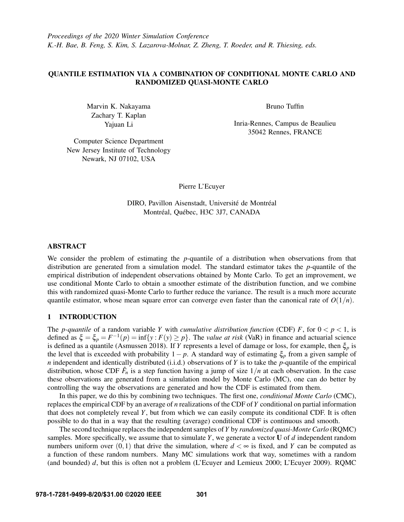*Proceedings of the 2020 Winter Simulation Conference K.-H. Bae, B. Feng, S. Kim, S. Lazarova-Molnar, Z. Zheng, T. Roeder, and R. Thiesing, eds.*

# QUANTILE ESTIMATION VIA A COMBINATION OF CONDITIONAL MONTE CARLO AND RANDOMIZED QUASI-MONTE CARLO

Marvin K. Nakayama Zachary T. Kaplan Yajuan Li

Bruno Tuffin

Inria-Rennes, Campus de Beaulieu 35042 Rennes, FRANCE

Computer Science Department New Jersey Institute of Technology Newark, NJ 07102, USA

Pierre L'Ecuyer

DIRO, Pavillon Aisenstadt, Université de Montréal Montréal, Québec, H3C 3J7, CANADA

# ABSTRACT

We consider the problem of estimating the *p*-quantile of a distribution when observations from that distribution are generated from a simulation model. The standard estimator takes the *p*-quantile of the empirical distribution of independent observations obtained by Monte Carlo. To get an improvement, we use conditional Monte Carlo to obtain a smoother estimate of the distribution function, and we combine this with randomized quasi-Monte Carlo to further reduce the variance. The result is a much more accurate quantile estimator, whose mean square error can converge even faster than the canonical rate of  $O(1/n)$ .

## 1 INTRODUCTION

The *p*-quantile of a random variable *Y* with *cumulative distribution function* (CDF) *F*, for  $0 < p < 1$ , is defined as  $\xi = \xi_p = F^{-1}(p) = \inf\{y : F(y) \ge p\}$ . The *value at risk* (VaR) in finance and actuarial science is defined as a quantile [\(Asmussen 2018\)](#page-10-0). If *Y* represents a level of damage or loss, for example, then ξ*<sup>p</sup>* is the level that is exceeded with probability 1− *p*. A standard way of estimating ξ*<sup>p</sup>* from a given sample of *n* independent and identically distributed (i.i.d.) observations of *Y* is to take the *p*-quantile of the empirical distribution, whose CDF  $\hat{F}_n$  is a step function having a jump of size  $1/n$  at each observation. In the case these observations are generated from a simulation model by Monte Carlo (MC), one can do better by controlling the way the observations are generated and how the CDF is estimated from them.

In this paper, we do this by combining two techniques. The first one, *conditional Monte Carlo* (CMC), replaces the empirical CDF by an average of *n* realizations of the CDF of *Y* conditional on partial information that does not completely reveal *Y*, but from which we can easily compute its conditional CDF. It is often possible to do that in a way that the resulting (average) conditional CDF is continuous and smooth.

The second technique replaces the independent samples of*Y* by *randomized quasi-Monte Carlo* (RQMC) samples. More specifically, we assume that to simulate *Y*, we generate a vector U of *d* independent random numbers uniform over  $(0,1)$  that drive the simulation, where  $d < \infty$  is fixed, and *Y* can be computed as a function of these random numbers. Many MC simulations work that way, sometimes with a random (and bounded) *d*, but this is often not a problem [\(L'Ecuyer and Lemieux 2000;](#page-10-1) [L'Ecuyer 2009\)](#page-10-2). RQMC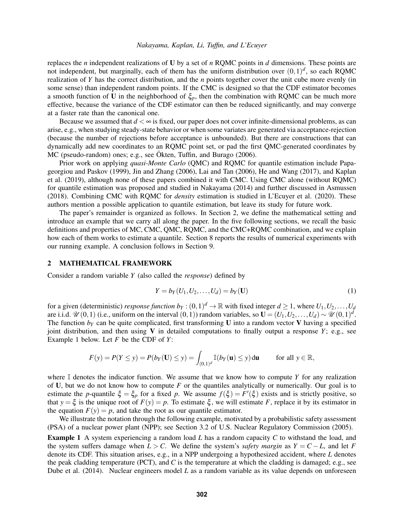replaces the *n* independent realizations of U by a set of *n* RQMC points in *d* dimensions. These points are not independent, but marginally, each of them has the uniform distribution over  $(0,1)^d$ , so each RQMC realization of *Y* has the correct distribution, and the *n* points together cover the unit cube more evenly (in some sense) than independent random points. If the CMC is designed so that the CDF estimator becomes a smooth function of U in the neighborhood of  $\xi_p$ , then the combination with RQMC can be much more effective, because the variance of the CDF estimator can then be reduced significantly, and may converge at a faster rate than the canonical one.

Because we assumed that  $d < \infty$  is fixed, our paper does not cover infinite-dimensional problems, as can arise, e.g., when studying steady-state behavior or when some variates are generated via acceptance-rejection (because the number of rejections before acceptance is unbounded). But there are constructions that can dynamically add new coordinates to an RQMC point set, or pad the first QMC-generated coordinates by MC (pseudo-random) ones; e.g., see Ökten, Tuffin, and Burago (2006).

Prior work on applying *quasi-Monte Carlo* (QMC) and RQMC for quantile estimation include [Papa](#page-11-1)[georgiou and Paskov \(1999\),](#page-11-1) [Jin and Zhang \(2006\),](#page-10-3) [Lai and Tan \(2006\),](#page-10-4) [He and Wang \(2017\),](#page-10-5) and [Kaplan](#page-10-6) [et al. \(2019\),](#page-10-6) although none of these papers combined it with CMC. Using CMC alone (without RQMC) for quantile estimation was proposed and studied in [Nakayama \(2014\)](#page-11-2) and further discussed in [Asmussen](#page-10-0) [\(2018\).](#page-10-0) Combining CMC with RQMC for *density* estimation is studied in [L'Ecuyer et al. \(2020\).](#page-10-7) These authors mention a possible application to quantile estimation, but leave its study for future work.

The paper's remainder is organized as follows. In Section [2,](#page-1-0) we define the mathematical setting and introduce an example that we carry all along the paper. In the five following sections, we recall the basic definitions and properties of MC, CMC, QMC, RQMC, and the CMC+RQMC combination, and we explain how each of them works to estimate a quantile. Section [8](#page-8-0) reports the results of numerical experiments with our running example. A conclusion follows in Section [9.](#page-9-0)

#### <span id="page-1-0"></span>2 MATHEMATICAL FRAMEWORK

Consider a random variable *Y* (also called the *response*) defined by

<span id="page-1-2"></span>
$$
Y = b_Y(U_1, U_2, \dots, U_d) = b_Y(\mathbf{U})
$$
\n(1)

for a given (deterministic) *response function*  $b_Y$  :  $(0,1)^d \to \mathbb{R}$  with fixed integer  $d \ge 1$ , where  $U_1, U_2, \ldots, U_d$ are i.i.d.  $\mathscr{U}(0,1)$  (i.e., uniform on the interval  $(0,1)$ ) random variables, so  $\mathbf{U} = (U_1,U_2,\ldots,U_d) \sim \mathscr{U}(0,1)^d$ . The function  $b_Y$  can be quite complicated, first transforming U into a random vector V having a specified joint distribution, and then using  $V$  in detailed computations to finally output a response  $Y$ ; e.g., see Example [1](#page-1-1) below. Let *F* be the CDF of *Y*:

$$
F(y) = P(Y \le y) = P(b_Y(\mathbf{U}) \le y) = \int_{(0,1)^d} \mathbb{I}(b_Y(\mathbf{u}) \le y) d\mathbf{u} \quad \text{for all } y \in \mathbb{R},
$$

where  $\mathbb I$  denotes the indicator function. We assume that we know how to compute *Y* for any realization of U, but we do not know how to compute *F* or the quantiles analytically or numerically. Our goal is to estimate the *p*-quantile  $\xi = \xi_p$  for a fixed *p*. We assume  $f(\xi) = F'(\xi)$  exists and is strictly positive, so that  $y = \xi$  is the unique root of  $F(y) = p$ . To estimate  $\xi$ , we will estimate *F*, replace it by its estimator in the equation  $F(y) = p$ , and take the root as our quantile estimator.

We illustrate the notation through the following example, motivated by a probabilistic safety assessment (PSA) of a nuclear power plant (NPP); see Section 3.2 of [U.S. Nuclear Regulatory Commission \(2005\).](#page-11-3)

<span id="page-1-1"></span>Example 1 A system experiencing a random load *L* has a random capacity *C* to withstand the load, and the system suffers damage when  $L > C$ . We define the system's *safety margin* as  $Y = C - L$ , and let *F* denote its CDF. This situation arises, e.g., in a NPP undergoing a hypothesized accident, where *L* denotes the peak cladding temperature (PCT), and *C* is the temperature at which the cladding is damaged; e.g., see [Dube et al. \(2014\).](#page-10-8) Nuclear engineers model *L* as a random variable as its value depends on unforeseen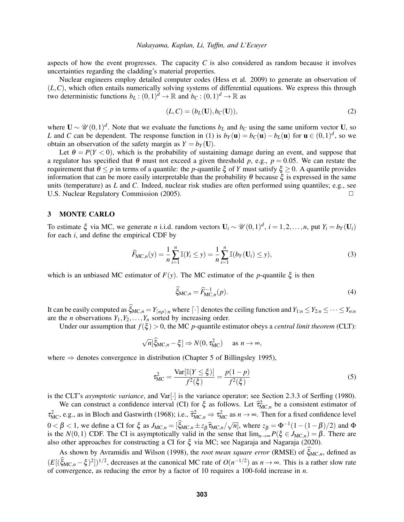aspects of how the event progresses. The capacity  $C$  is also considered as random because it involves uncertainties regarding the cladding's material properties.

Nuclear engineers employ detailed computer codes [\(Hess et al. 2009\)](#page-10-9) to generate an observation of (*L*,*C*), which often entails numerically solving systems of differential equations. We express this through two deterministic functions  $b_L: (0,1)^d \to \mathbb{R}$  and  $b_C: (0,1)^d \to \mathbb{R}$  as

<span id="page-2-0"></span>
$$
(L,C) = (bL(\mathbf{U}), bC(\mathbf{U})),
$$
\n(2)

where  $U \sim \mathcal{U}(0,1)^d$ . Note that we evaluate the functions  $b_L$  and  $b_C$  using the same uniform vector U, so *L* and *C* can be dependent. The response function in [\(1\)](#page-1-2) is  $b_Y(\mathbf{u}) = b_C(\mathbf{u}) - b_L(\mathbf{u})$  for  $\mathbf{u} \in (0,1)^d$ , so we obtain an observation of the safety margin as  $Y = b_Y(\mathbf{U})$ .

Let  $\theta = P(Y < 0)$ , which is the probability of sustaining damage during an event, and suppose that a regulator has specified that  $\theta$  must not exceed a given threshold *p*, e.g.,  $p = 0.05$ . We can restate the requirement that  $θ ≤ p$  in terms of a quantile: the *p*-quantile  $ξ$  of *Y* must satisfy  $ξ ≥ 0$ . A quantile provides information that can be more easily interpretable than the probability  $\theta$  because  $\xi$  is expressed in the same units (temperature) as *L* and *C*. Indeed, nuclear risk studies are often performed using quantiles; e.g., see U.S. Nuclear Regulatory Commission [\(2005\)](#page-11-3). ◯

## 3 MONTE CARLO

To estimate  $\xi$  via MC, we generate *n* i.i.d. random vectors  $U_i \sim \mathcal{U}(0,1)^d$ ,  $i = 1,2,...,n$ , put  $Y_i = b_Y(U_i)$ for each *i*, and define the empirical CDF by

<span id="page-2-2"></span>
$$
\widehat{F}_{\mathsf{MC},n}(y) = \frac{1}{n} \sum_{i=1}^{n} \mathbb{I}(Y_i \le y) = \frac{1}{n} \sum_{i=1}^{n} \mathbb{I}(b_Y(\mathbf{U}_i) \le y),\tag{3}
$$

which is an unbiased MC estimator of  $F(y)$ . The MC estimator of the *p*-quantile  $\xi$  is then

<span id="page-2-3"></span>
$$
\widehat{\xi}_{\mathrm{MC},n} = \widehat{F}_{\mathrm{MC},n}^{-1}(p). \tag{4}
$$

It can be easily computed as  $\hat{\xi}_{MC,n} = Y_{\lfloor np \rfloor:n}$  where  $\lfloor \cdot \rfloor$  denotes the ceiling function and  $Y_{1:n} \le Y_{2:n} \le \cdots \le Y_{n:n}$ are the *n* observations  $Y_1, Y_2, \ldots, Y_n$  sorted by increasing order.

Under our assumption that  $f(\xi) > 0$ , the MC *p*-quantile estimator obeys a *central limit theorem* (CLT):

$$
\sqrt{n}[\widehat{\xi}_{MC,n} - \xi] \Rightarrow N(0, \tau_{MC}^2) \quad \text{as } n \to \infty,
$$

where  $\Rightarrow$  denotes convergence in distribution (Chapter 5 of [Billingsley 1995\)](#page-10-10),

<span id="page-2-1"></span>
$$
\tau_{\text{MC}}^2 = \frac{\text{Var}[\mathbb{I}(Y \le \xi)]}{f^2(\xi)} = \frac{p(1-p)}{f^2(\xi)}\tag{5}
$$

is the CLT's *asymptotic variance*, and Var[·] is the variance operator; see Section 2.3.3 of [Serfling \(1980\).](#page-11-4)

We can construct a confidence interval (CI) for  $\xi$  as follows. Let  $\hat{\tau}_{MC,n}^2$  be a consistent estimator of  $\tau_{MC}^2$ , e.g., as in [Bloch and Gastwirth \(1968\);](#page-10-11) i.e.,  $\hat{\tau}_{MC,n}^2 \Rightarrow \tau_{MC}^2$  as  $n \rightarrow \infty$ . Then for a fixed confidence level  $0 < \beta < 1$ , we define a CI for ξ as  $J_{MC,n} = [\hat{\xi}_{MC,n} \pm z_\beta \hat{\tau}_{MC,n}/\sqrt{n}]$ , where  $z_\beta = \Phi^{-1}(1-(1-\beta)/2)$  and  $\Phi$ <br>is the  $N(0, 1)$  CDE. The CI is asymptotically valid in the same that  $\lim_{R \to \infty} P(\xi \in I_{DC}) = \beta$ . There are is the *N*(0,1) CDF. The CI is asymptotically valid in the sense that  $\lim_{n\to\infty} P(\xi \in J_{\text{MC},n}) = \beta$ . There are also other approaches for constructing a CI for ξ via MC; see [Nagaraja and Nagaraja \(2020\).](#page-11-5)

As shown by [Avramidis and Wilson \(1998\),](#page-10-12) the *root mean square error* (RMSE) of ξ<sub>MC,*n*</sub>, defined as  $(E[(\xi_{MC,n} - \xi)^2])^{1/2}$ , decreases at the canonical MC rate of  $O(n^{-1/2})$  as  $n \to \infty$ . This is a rather slow rate of convergence, as reducing the error by a factor of 10 requires a 100-fold increase in *n*.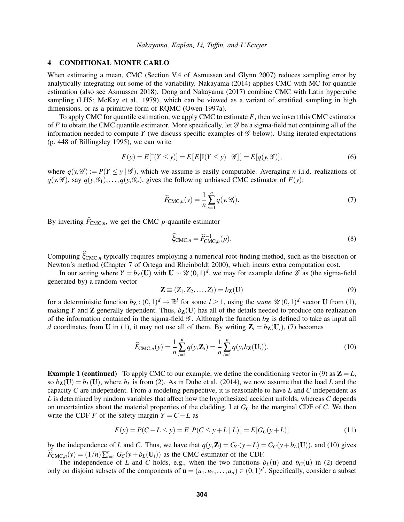## <span id="page-3-6"></span>4 CONDITIONAL MONTE CARLO

When estimating a mean, CMC (Section V.4 of [Asmussen and Glynn 2007\)](#page-10-13) reduces sampling error by analytically integrating out some of the variability. [Nakayama \(2014\)](#page-11-2) applies CMC with MC for quantile estimation (also see [Asmussen 2018\)](#page-10-0). [Dong and Nakayama \(2017\)](#page-10-14) combine CMC with Latin hypercube sampling (LHS; [McKay et al. 1979\)](#page-10-15), which can be viewed as a variant of stratified sampling in high dimensions, or as a primitive form of RQMC [\(Owen 1997a\)](#page-11-6).

To apply CMC for quantile estimation, we apply CMC to estimate *F*, then we invert this CMC estimator of *F* to obtain the CMC quantile estimator. More specifically, let  $\mathscr G$  be a sigma-field not containing all of the information needed to compute *Y* (we discuss specific examples of  $\mathscr G$  below). Using iterated expectations (p. 448 of [Billingsley 1995\)](#page-10-10), we can write

<span id="page-3-3"></span>
$$
F(y) = E\left[\mathbb{I}(Y \le y)\right] = E\left[E\left[\mathbb{I}(Y \le y) \mid \mathscr{G}\right]\right] = E\left[q(y, \mathscr{G})\right],\tag{6}
$$

where  $q(y, \mathscr{G}) := P(Y \le y | \mathscr{G})$ , which we assume is easily computable. Averaging *n* i.i.d. realizations of  $q(y, \mathscr{G})$ , say  $q(y, \mathscr{G}_1), \ldots, q(y, \mathscr{G}_n)$ , gives the following unbiased CMC estimator of  $F(y)$ :

$$
\widehat{F}_{\text{CMC},n}(y) = \frac{1}{n} \sum_{i=1}^{n} q(y, \mathcal{G}_i).
$$
\n(7)

By inverting  $\widehat{F}_{\text{CMC}}$ <sub>n</sub>, we get the CMC *p*-quantile estimator

<span id="page-3-4"></span><span id="page-3-0"></span>
$$
\widehat{\xi}_{\text{CMC},n} = \widehat{F}_{\text{CMC},n}^{-1}(p). \tag{8}
$$

Computing  $\xi_{CMC,n}$  typically requires employing a numerical root-finding method, such as the bisection or Newton's method (Chapter 7 of [Ortega and Rheinboldt 2000\)](#page-11-7), which incurs extra computation cost.

In our setting where  $Y = b_Y(\mathbf{U})$  with  $\mathbf{U} \sim \mathcal{U}(0,1)^d$ , we may for example define  $\mathcal G$  as (the sigma-field generated by) a random vector

<span id="page-3-2"></span><span id="page-3-1"></span>
$$
\mathbf{Z} \equiv (Z_1, Z_2, \dots, Z_l) = b_{\mathbf{Z}}(\mathbf{U}) \tag{9}
$$

for a deterministic function  $b\mathbf{z} : (0,1)^d \to \mathbb{R}^l$  for some  $l \geq 1$ , using the *same*  $\mathcal{U}(0,1)^d$  vector **U** from [\(1\)](#page-1-2), making *Y* and **Z** generally dependent. Thus,  $b_{\mathbf{Z}}(\mathbf{U})$  has all of the details needed to produce one realization of the information contained in the sigma-field  $\mathscr G$ . Although the function  $b_{\mathbf{Z}}$  is defined to take as input all *d* coordinates from U in [\(1\)](#page-1-2), it may not use all of them. By writing  $\mathbf{Z}_i = b_{\mathbf{Z}}(\mathbf{U}_i)$ , [\(7\)](#page-3-0) becomes

<span id="page-3-5"></span>
$$
\widehat{F}_{\text{CMC},n}(y) = \frac{1}{n} \sum_{i=1}^{n} q(y, \mathbf{Z}_i) = \frac{1}{n} \sum_{i=1}^{n} q(y, b_{\mathbf{Z}}(\mathbf{U}_i)).
$$
\n(10)

**Example [1](#page-1-1) (continued)** To apply CMC to our example, we define the conditioning vector in [\(9\)](#page-3-1) as  $\mathbf{Z} = L$ , so  $b_{\mathbf{Z}}(\mathbf{U}) = b_L(\mathbf{U})$ , where  $b_L$  is from [\(2\)](#page-2-0). As in [Dube et al. \(2014\),](#page-10-8) we now assume that the load *L* and the capacity *C* are independent. From a modeling perspective, it is reasonable to have *L* and *C* independent as *L* is determined by random variables that affect how the hypothesized accident unfolds, whereas *C* depends on uncertainties about the material properties of the cladding. Let *G<sup>C</sup>* be the marginal CDF of *C*. We then write the CDF *F* of the safety margin  $Y = C - L$  as

$$
F(y) = P(C - L \le y) = E[P(C \le y + L | L)] = E[G_C(y + L)]
$$
\n(11)

by the independence of *L* and *C*. Thus, we have that  $q(y, Z) = G_C(y + L) = G_C(y + b_L(U))$ , and [\(10\)](#page-3-2) gives  $\widehat{F}_{\text{CMC},n}(y) = (1/n) \sum_{i=1}^n G_C(y + b_L(U_i))$  as the CMC estimator of the CDF.

The independence of *L* and *C* holds, e.g., when the two functions  $b<sub>L</sub>(u)$  and  $b<sub>C</sub>(u)$  in [\(2\)](#page-2-0) depend only on disjoint subsets of the components of  $\mathbf{u} = (u_1, u_2, \dots, u_d) \in (0, 1)^d$ . Specifically, consider a subset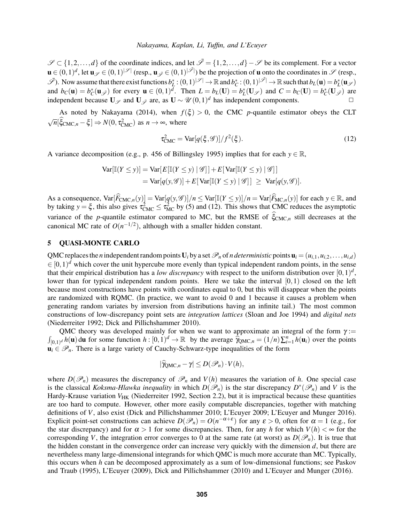$\mathscr{S} \subset \{1,2,\ldots,d\}$  of the coordinate indices, and let  $\bar{\mathscr{S}} = \{1,2,\ldots,d\} - \mathscr{S}$  be its complement. For a vector  $\mathbf{u} \in (0,1)^d$ , let  $\mathbf{u}_{\mathscr{S}} \in (0,1)^{|\mathscr{S}|}$  (resp.,  $\mathbf{u}_{\mathscr{S}} \in (0,1)^{|\mathscr{S}|}$ ) be the projection of **u** onto the coordinates in  $\mathscr{S}$  (resp.,  $\mathscr{I}$ ). Now assume that there exist functions  $b_L^*: (0,1)^{|\mathscr{I}|} \to \mathbb{R}$  and  $b_C^*: (0,1)^{|\mathscr{I}|} \to \mathbb{R}$  such that  $b_L(\mathbf{u}) = b_L^*(\mathbf{u}_{\mathscr{I}})$ and  $b_C(\mathbf{u}) = b_C^*(\mathbf{u}_{\mathscr{F}})$  for every  $\mathbf{u} \in (0,1)^d$ . Then  $L = b_L(\mathbf{U}) = b_L^*(\mathbf{U}_{\mathscr{F}})$  and  $C = b_C(\mathbf{U}) = b_C^*(\mathbf{U}_{\mathscr{F}})$  are independent because  $U_{\mathscr{S}}$  and  $U_{\mathscr{S}}$  are, as  $U \sim \mathscr{U}(0,1)^d$  has independent components.  $□$ 

As noted by [Nakayama \(2014\),](#page-11-2) when  $f(\xi) > 0$ , the CMC *p*-quantile estimator obeys the CLT  $\sqrt{n}[\hat{\xi}_{CMC,n} - \xi] \Rightarrow N(0, \tau_{CMC}^2)$  as  $n \to \infty$ , where

<span id="page-4-0"></span>
$$
\tau_{\text{CMC}}^2 = \text{Var}[q(\xi, \mathcal{G})]/f^2(\xi). \tag{12}
$$

A variance decomposition (e.g., p. 456 of [Billingsley 1995\)](#page-10-10) implies that for each  $y \in \mathbb{R}$ ,

$$
\operatorname{Var}[\mathbb{I}(Y \le y)] = \operatorname{Var}[E[\mathbb{I}(Y \le y) | \mathcal{G}]] + E[\operatorname{Var}[\mathbb{I}(Y \le y) | \mathcal{G}]]
$$
  
= 
$$
\operatorname{Var}[q(y, \mathcal{G})] + E[\operatorname{Var}[\mathbb{I}(Y \le y) | \mathcal{G}]] \ge \operatorname{Var}[q(y, \mathcal{G})].
$$

As a consequence,  $\text{Var}[\widehat{F}_{CMC,n}(y)] = \text{Var}[q(y, \mathcal{G})]/n \leq \text{Var}[\mathbb{I}(Y \leq y)]/n = \text{Var}[\widehat{F}_{MC,n}(y)]$  for each  $y \in \mathbb{R}$ , and by taking  $y = \xi$ , this also gives  $\tau_{CMC}^2 \leq \tau_{MC}^2$  by [\(5\)](#page-2-1) and [\(12\)](#page-4-0). This shows that CMC reduces the asymptotic variance of the *p*-quantile estimator compared to MC, but the RMSE of  $\hat{\xi}_{CMC,n}$  still decreases at the canonical MC rate of  $O(n^{-1/2})$ , although with a smaller hidden constant.

# <span id="page-4-1"></span>5 QUASI-MONTE CARLO

QMC replaces the *n* independent random points  $U_i$  by a set  $\mathcal{P}_n$  of *n deterministic* points  $\mathbf{u}_i = (u_{i,1}, u_{i,2}, \dots, u_{i,d})$  $\in [0,1)^d$  which cover the unit hypercube more evenly than typical independent random points, in the sense that their empirical distribution has a *low discrepancy* with respect to the uniform distribution over  $[0,1)^d$ , lower than for typical independent random points. Here we take the interval [0,1) closed on the left because most constructions have points with coordinates equal to 0, but this will disappear when the points are randomized with RQMC. (In practice, we want to avoid 0 and 1 because it causes a problem when generating random variates by inversion from distributions having an infinite tail.) The most common constructions of low-discrepancy point sets are *integration lattices* [\(Sloan and Joe 1994\)](#page-11-8) and *digital nets* [\(Niederreiter 1992;](#page-11-9) [Dick and Pillichshammer 2010\)](#page-10-16).

QMC theory was developed mainly for when we want to approximate an integral of the form  $\gamma$  :=  $\int_{[0,1]^d} h(\mathbf{u}) \, d\mathbf{u}$  for some function  $h : [0,1)^d \to \mathbb{R}$  by the average  $\hat{\hat{\chi}}_{\text{QMC},n} = (1/n) \sum_{i=1}^n h(\mathbf{u}_i)$  over the points  $u_i \in \mathcal{P}_n$ . There is a large variety of Cauchy-Schwarz-type inequalities of the form

$$
|\widehat{\gamma}_{\text{QMC},n} - \gamma| \leq D(\mathscr{P}_n) \cdot V(h),
$$

where  $D(\mathcal{P}_n)$  measures the discrepancy of  $\mathcal{P}_n$  and  $V(h)$  measures the variation of *h*. One special case is the classical *Koksma-Hlawka inequality* in which  $D(\mathscr{P}_n)$  is the star discrepancy  $D^*(\mathscr{P}_n)$  and *V* is the Hardy-Krause variation *V*<sub>HK</sub> [\(Niederreiter 1992,](#page-11-9) Section 2.2), but it is impractical because these quantities are too hard to compute. However, other more easily computable discrepancies, together with matching definitions of *V*, also exist [\(Dick and Pillichshammer 2010;](#page-10-16) [L'Ecuyer 2009;](#page-10-2) [L'Ecuyer and Munger 2016\)](#page-10-17). Explicit point-set constructions can achieve  $D(\mathcal{P}_n) = O(n^{-\alpha+\epsilon})$  for any  $\epsilon > 0$ , often for  $\alpha = 1$  (e.g., for the star discrepancy) and for  $\alpha > 1$  for some discrepancies. Then, for any *h* for which  $V(h) < \infty$  for the corresponding *V*, the integration error converges to 0 at the same rate (at worst) as  $D(\mathcal{P}_n)$ . It is true that the hidden constant in the convergence order can increase very quickly with the dimension *d*, but there are nevertheless many large-dimensional integrands for which QMC is much more accurate than MC. Typically, this occurs when *h* can be decomposed approximately as a sum of low-dimensional functions; see [Paskov](#page-11-10) [and Traub \(1995\),](#page-11-10) [L'Ecuyer \(2009\),](#page-10-2) [Dick and Pillichshammer \(2010\)](#page-10-16) and [L'Ecuyer and Munger \(2016\).](#page-10-17)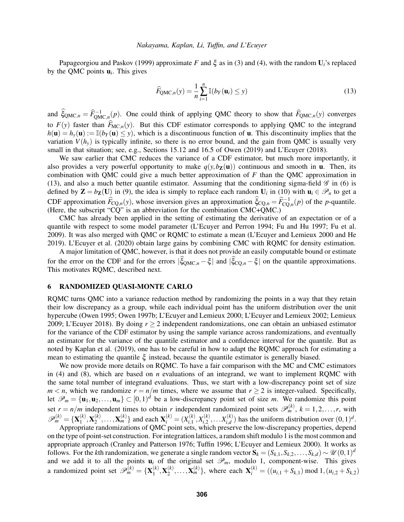[Papageorgiou and Paskov \(1999\)](#page-11-1) approximate *F* and  $\xi$  as in [\(3\)](#page-2-2) and [\(4\)](#page-2-3), with the random  $U_i$ 's replaced by the QMC points  $\mathbf{u}_i$ . This gives

<span id="page-5-0"></span>
$$
\widehat{F}_{\text{QMC},n}(y) = \frac{1}{n} \sum_{i=1}^{n} \mathbb{I}(b_Y(\mathbf{u}_i) \le y)
$$
\n(13)

and  $\hat{\xi}_{QMC,n} = \hat{F}_{QMC,n}^{-1}(p)$ . One could think of applying QMC theory to show that  $\hat{F}_{QMC,n}(y)$  converges to  $F(y)$  faster than  $\widehat{F}_{MC,n}(y)$ . But this CDF estimator corresponds to applying QMC to the integrand  $h(\mathbf{u}) = h_{\mathbf{v}}(\mathbf{u}) := \mathbb{I}(b_{Y}(\mathbf{u}) \leq y)$ , which is a discontinuous function of **u**. This discontinuity implies that the variation  $V(h_v)$  is typically infinite, so there is no error bound, and the gain from QMC is usually very small in that situation; see, e.g., Sections 15.12 and 16.5 of [Owen \(2019\)](#page-11-11) and [L'Ecuyer \(2018\).](#page-10-18)

We saw earlier that CMC reduces the variance of a CDF estimator, but much more importantly, it also provides a very powerful opportunity to make  $q(y, b_{\mathbf{Z}}(\mathbf{u}))$  continuous and smooth in **u**. Then, its combination with QMC could give a much better approximation of *F* than the QMC approximation in [\(13\)](#page-5-0), and also a much better quantile estimator. Assuming that the conditioning sigma-field  $\mathscr G$  in [\(6\)](#page-3-3) is defined by  $\mathbf{Z} = b_{\mathbf{Z}}(\mathbf{U})$  in [\(9\)](#page-3-1), the idea is simply to replace each random  $\mathbf{U}_i$  in [\(10\)](#page-3-2) with  $\mathbf{u}_i \in \mathcal{P}_n$  to get a CDF approximation  $\widehat{F}_{\text{CQ},n}(y)$ , whose inversion gives an approximation  $\widehat{\xi}_{\text{CQ},n} = \widehat{F}_{\text{CQ},n}^{-1}(p)$  of the *p*-quantile. (Here, the subscript "CQ" is an abbreviation for the combination CMC+QMC.)

CMC has already been applied in the setting of estimating the derivative of an expectation or of a quantile with respect to some model parameter [\(L'Ecuyer and Perron 1994;](#page-10-19) [Fu and Hu 1997;](#page-10-20) [Fu et al.](#page-10-21) [2009\)](#page-10-21). It was also merged with QMC or RQMC to estimate a mean [\(L'Ecuyer and Lemieux 2000](#page-10-1) and [He](#page-10-22) [2019\)](#page-10-22). [L'Ecuyer et al. \(2020\)](#page-10-7) obtain large gains by combining CMC with RQMC for density estimation.

A major limitation of QMC, however, is that it does not provide an easily computable bound or estimate for the error on the CDF and for the errors  $|\xi_{\text{QMC},n} - \xi|$  and  $|\xi_{\text{CQ},n} - \xi|$  on the quantile approximations. This motivates RQMC, described next.

## 6 RANDOMIZED QUASI-MONTE CARLO

ROMC turns OMC into a variance reduction method by randomizing the points in a way that they retain their low discrepancy as a group, while each individual point has the uniform distribution over the unit hypercube [\(Owen 1995;](#page-11-12) [Owen 1997b;](#page-11-13) [L'Ecuyer and Lemieux 2000;](#page-10-1) [L'Ecuyer and Lemieux 2002;](#page-10-23) [Lemieux](#page-10-24) [2009;](#page-10-24) [L'Ecuyer 2018\)](#page-10-18). By doing *r* ≥ 2 independent randomizations, one can obtain an unbiased estimator for the variance of the CDF estimator by using the sample variance across randomizations, and eventually an estimator for the variance of the quantile estimator and a confidence interval for the quantile. But as noted by [Kaplan et al. \(2019\),](#page-10-6) one has to be careful in how to adapt the RQMC approach for estimating a mean to estimating the quantile  $\xi$  instead, because the quantile estimator is generally biased.

We now provide more details on RQMC. To have a fair comparison with the MC and CMC estimators in [\(4\)](#page-2-3) and [\(8\)](#page-3-4), which are based on *n* evaluations of an integrand, we want to implement RQMC with the same total number of integrand evaluations. Thus, we start with a low-discrepancy point set of size  $m < n$ , which we randomize  $r = n/m$  times, where we assume that  $r \ge 2$  is integer-valued. Specifically, let  $\mathscr{P}_m = {\mathbf{u}_1, \mathbf{u}_2, ..., \mathbf{u}_m} \subset [0, 1)^d$  be a low-discrepancy point set of size *m*. We randomize this point set  $r = n/m$  independent times to obtain *r* independent randomized point sets  $\mathscr{P}_m^{(k)}$ ,  $k = 1, 2, ..., r$ , with  $\mathscr{P}_m^{(k)} = {\mathbf{X}_{1}^{(k)}}$  $\mathbf{X}_1^{(k)}, \mathbf{X}_2^{(k)}$  $\{X_2^{(k)}, \ldots, X_m^{(k)}\}$  and each  $\mathbf{X}_i^{(k)} = (X_{i,1}^{(k)})$  $X_{i,1}^{(k)}, X_{i,2}^{(k)}$  $X_{i,2}^{(k)}, \ldots X_{i,d}^{(k)}$  $\binom{n(k)}{n(k)}$  has the uniform distribution over  $(0,1)^d$ .

Appropriate randomizations of QMC point sets, which preserve the low-discrepancy properties, depend on the type of point-set construction. For integration lattices, a random shift modulo 1 is the most common and appropriate approach [\(Cranley and Patterson 1976;](#page-10-25) [Tuffin 1996;](#page-11-14) [L'Ecuyer and Lemieux 2000\)](#page-10-1). It works as follows. For the *k*th randomization, we generate a single random vector  $S_k = (S_{k,1}, S_{k,2}, \ldots, S_{k,d}) \sim \mathcal{U}(0,1)^d$ and we add it to all the points  $\mathbf{u}_i$  of the original set  $\mathcal{P}_m$ , modulo 1, component-wise. This gives a randomized point set  $\mathscr{P}_m^{(k)} = {\mathbf{X}_{\mathbf{1}}^{(k)}}$  $\mathbf{X}_1^{(k)}, \mathbf{X}_2^{(k)}$  $\mathbf{X}_{2}^{(k)}, \ldots, \mathbf{X}_{m}^{(k)}$ , where each  $\mathbf{X}_{i}^{(k)} = ((u_{i,1} + S_{k,1}) \text{ mod } 1, (u_{i,2} + S_{k,2})$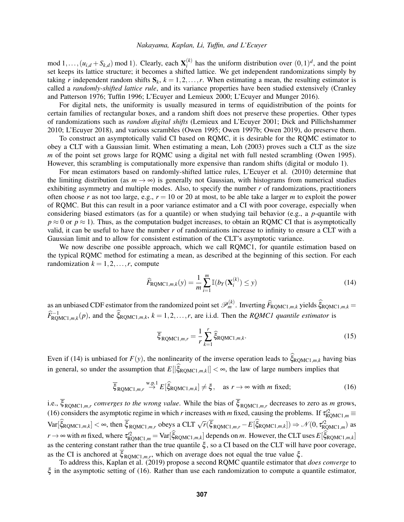mod  $1, \ldots, (u_{i,d} + S_{k,d})$  mod 1). Clearly, each  $\mathbf{X}_i^{(k)}$  $i^{(k)}$  has the uniform distribution over  $(0,1)^d$ , and the point set keeps its lattice structure; it becomes a shifted lattice. We get independent randomizations simply by taking *r* independent random shifts  $S_k$ ,  $k = 1, 2, ..., r$ . When estimating a mean, the resulting estimator is called a *randomly-shifted lattice rule*, and its variance properties have been studied extensively [\(Cranley](#page-10-25) [and Patterson 1976;](#page-10-25) [Tuffin 1996;](#page-11-14) [L'Ecuyer and Lemieux 2000;](#page-10-1) [L'Ecuyer and Munger 2016\)](#page-10-17).

For digital nets, the uniformity is usually measured in terms of equidistribution of the points for certain families of rectangular boxes, and a random shift does not preserve these properties. Other types of randomizations such as *random digital shifts* [\(Lemieux and L'Ecuyer 2001;](#page-10-26) [Dick and Pillichshammer](#page-10-16) [2010;](#page-10-16) [L'Ecuyer 2018\)](#page-10-18), and various scrambles [\(Owen 1995;](#page-11-12) [Owen 1997b;](#page-11-13) [Owen 2019\)](#page-11-11), do preserve them.

To construct an asymptotically valid CI based on RQMC, it is desirable for the RQMC estimator to obey a CLT with a Gaussian limit. When estimating a mean, [Loh \(2003\)](#page-10-27) proves such a CLT as the size *m* of the point set grows large for RQMC using a digital net with full nested scrambling [\(Owen 1995\)](#page-11-12). However, this scrambling is computationally more expensive than random shifts (digital or modulo 1).

For mean estimators based on randomly-shifted lattice rules, [L'Ecuyer et al. \(2010\)](#page-10-28) determine that the limiting distribution (as  $m \rightarrow \infty$ ) is generally not Gaussian, with histograms from numerical studies exhibiting asymmetry and multiple modes. Also, to specify the number *r* of randomizations, practitioners often choose *r* as not too large, e.g.,  $r = 10$  or 20 at most, to be able take a larger *m* to exploit the power of RQMC. But this can result in a poor variance estimator and a CI with poor coverage, especially when considering biased estimators (as for a quantile) or when studying tail behavior (e.g., a *p*-quantile with  $p \approx 0$  or  $p \approx 1$ ). Thus, as the computation budget increases, to obtain an RQMC CI that is asymptotically valid, it can be useful to have the number *r* of randomizations increase to infinity to ensure a CLT with a Gaussian limit and to allow for consistent estimation of the CLT's asymptotic variance.

We now describe one possible approach, which we call RQMC1, for quantile estimation based on the typical RQMC method for estimating a mean, as described at the beginning of this section. For each randomization  $k = 1, 2, \ldots, r$ , compute

<span id="page-6-0"></span>
$$
\widehat{F}_{\text{RQMC1},m,k}(y) = \frac{1}{m} \sum_{i=1}^{m} \mathbb{I}(b_Y(\mathbf{X}_i^{(k)}) \le y)
$$
\n(14)

as an unbiased CDF estimator from the randomized point set  $\mathscr{P}_m^{(k)}$ . Inverting  $\widehat{F}_{\text{RQMC1},m,k}$  yields  $\widehat{\xi}_{\text{RQMC1},m,k}$  $\widehat{F}_{\text{RQMC1},m,k}^{-1}(p)$ , and the  $\widehat{\xi}_{\text{RQMC1},m,k}$ ,  $k = 1,2,...,r$ , are i.i.d. Then the *RQMC1 quantile estimator* is

<span id="page-6-2"></span>
$$
\overline{\xi}_{\text{RQMC1},m,r} = \frac{1}{r} \sum_{k=1}^{r} \hat{\xi}_{\text{RQMC1},m,k}.
$$
\n(15)

Even if [\(14\)](#page-6-0) is unbiased for  $F(y)$ , the nonlinearity of the inverse operation leads to  $\hat{\xi}_{\text{ROMC1},m,k}$  having bias in general, so under the assumption that  $E[|\xi_{\text{RQMC1},m,k}|] < \infty$ , the law of large numbers implies that

<span id="page-6-1"></span>
$$
\overline{\xi}_{\text{RQMC1},m,r} \stackrel{\text{w.p.1}}{\rightarrow} E[\widehat{\xi}_{\text{RQMC1},m,k}] \neq \xi, \quad \text{as } r \to \infty \text{ with } m \text{ fixed};
$$
\n(16)

i.e.,  $\xi_{\text{RQMC1},m,r}$  *converges to the wrong value*. While the bias of  $\xi_{\text{RQMC1},m,r}$  decreases to zero as *m* grows, [\(16\)](#page-6-1) considers the asymptotic regime in which *r* increases with *m* fixed, causing the problems. If  $\tau_{\text{RQMC1},m}^{22}$  $Var[\hat{\xi}_{\text{RQMC1},m,k}] < \infty$ , then  $\overline{\xi}_{\text{RQMC1},m,r}$  obeys a CLT  $\sqrt{r(\overline{\xi}_{\text{RQMC1},m,r}-E[\hat{\xi}_{\text{RQMC1},m,k}])} \Rightarrow \mathcal{N}(0, \tau_{\text{RQMC1},m}^{2})$  as  $r \to \infty$  with *m* fixed, where  $\tau_{\text{RQMC1},m}^{22} = \text{Var}[\hat{\xi}_{\text{RQMC1},m,k}]$  depends on *m*. However, the CLT uses  $E[\hat{\xi}_{\text{RQMC1},m,k}]$ as the centering constant rather than the true quantile  $\xi$ , so a CI based on the CLT will have poor coverage, as the CI is anchored at  $\xi_{\text{RQMC1},m,r}$ , which on average does not equal the true value  $\xi$ .

To address this, [Kaplan et al. \(2019\)](#page-10-6) propose a second RQMC quantile estimator that *does converge* to  $\xi$  in the asymptotic setting of [\(16\)](#page-6-1). Rather than use each randomization to compute a quantile estimator,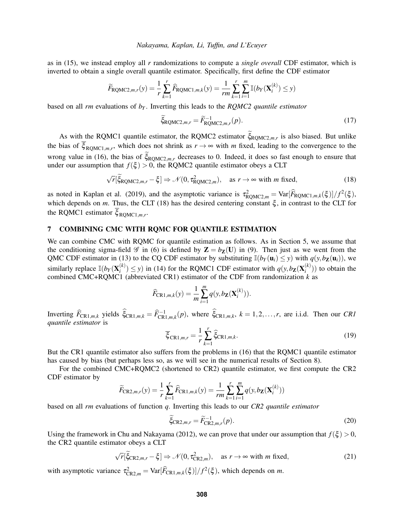as in [\(15\)](#page-6-2), we instead employ all *r* randomizations to compute a *single overall* CDF estimator, which is inverted to obtain a single overall quantile estimator. Specifically, first define the CDF estimator

$$
\widetilde{F}_{\text{RQMC2},m,r}(y) = \frac{1}{r} \sum_{k=1}^{r} \widehat{F}_{\text{RQMC1},m,k}(y) = \frac{1}{rm} \sum_{k=1}^{r} \sum_{i=1}^{m} \mathbb{I}(b_Y(\mathbf{X}_i^{(k)}) \leq y)
$$

based on all *rm* evaluations of *b<sup>Y</sup>* . Inverting this leads to the *RQMC2 quantile estimator*

<span id="page-7-1"></span>
$$
\widetilde{\xi}_{\text{RQMC2},m,r} = \widetilde{F}_{\text{RQMC2},m,r}^{-1}(p). \tag{17}
$$

As with the RQMC1 quantile estimator, the RQMC2 estimator  $\xi_{\text{RQMC2},m,r}$  is also biased. But unlike the bias of  $\xi_{\text{RQMC1},m,r}$ , which does not shrink as  $r \to \infty$  with *m* fixed, leading to the convergence to the wrong value in [\(16\)](#page-6-1), the bias of  $\tilde{\xi}_{\text{ROMC2},m,r}$  decreases to 0. Indeed, it does so fast enough to ensure that under our assumption that  $f(\xi) > 0$ , the RQMC2 quantile estimator obeys a CLT

<span id="page-7-0"></span>
$$
\sqrt{r}[\tilde{\xi}_{\text{RQMC2},m,r} - \xi] \Rightarrow \mathcal{N}(0, \tau_{\text{RQMC2},m}^2), \quad \text{as } r \to \infty \text{ with } m \text{ fixed}, \tag{18}
$$

as noted in [Kaplan et al. \(2019\),](#page-10-6) and the asymptotic variance is  $\tau_{\text{RQMC2},m}^2 = \text{Var}[\widehat{F}_{\text{RQMC1},m,k}(\xi)]/f^2(\xi)$ , which depends on *m*. Thus, the CLT [\(18\)](#page-7-0) has the desired centering constant  $\xi$ , in contrast to the CLT for the RQMC1 estimator  $\xi_{\text{RQMC1},m,r}$ .

## 7 COMBINING CMC WITH RQMC FOR QUANTILE ESTIMATION

We can combine CMC with RQMC for quantile estimation as follows. As in Section [5,](#page-4-1) we assume that the conditioning sigma-field  $\mathscr G$  in [\(6\)](#page-3-3) is defined by  $\mathbb Z = b_{\mathbb Z}(U)$  in [\(9\)](#page-3-1). Then just as we went from the QMC CDF estimator in [\(13\)](#page-5-0) to the CQ CDF estimator by substituting  $\mathbb{I}(b_Y(\mathbf{u}_i) \leq y)$  with  $q(y, b_Z(\mathbf{u}_i))$ , we similarly replace  $\mathbb{I}(b_Y(\mathbf{X}_i^{(k)}))$  $g_i^{(k)}$ )  $\leq$  *y*) in [\(14\)](#page-6-0) for the RQMC1 CDF estimator with  $q(y, b_{\mathbf{Z}}(\mathbf{X}_i^{(k)}))$  $\binom{k}{i}$ ) to obtain the combined CMC+RQMC1 (abbreviated CR1) estimator of the CDF from randomization *k* as

$$
\widehat{F}_{\text{CR1},m,k}(y) = \frac{1}{m} \sum_{i=1}^{m} q(y, b_{\mathbf{Z}}(\mathbf{X}_{i}^{(k)})).
$$

Inverting  $\widehat{F}_{CR1,m,k}$  yields  $\widehat{\xi}_{CR1,m,k} = \widehat{F}_{CR1,m,k}^{-1}(p)$ , where  $\widehat{\xi}_{CR1,m,k}$ ,  $k = 1, 2, ..., r$ , are i.i.d. Then our *CR1 quantile estimator* is

<span id="page-7-2"></span>
$$
\overline{\xi}_{\text{CR1},m,r} = \frac{1}{r} \sum_{k=1}^{r} \hat{\xi}_{\text{CR1},m,k}.
$$
\n(19)

But the CR1 quantile estimator also suffers from the problems in [\(16\)](#page-6-1) that the RQMC1 quantile estimator has caused by bias (but perhaps less so, as we will see in the numerical results of Section [8\)](#page-8-0).

For the combined CMC+RQMC2 (shortened to CR2) quantile estimator, we first compute the CR2 CDF estimator by

$$
\widetilde{F}_{\text{CR2},m,r}(y) = \frac{1}{r} \sum_{k=1}^{r} \widehat{F}_{\text{CR1},m,k}(y) = \frac{1}{rm} \sum_{k=1}^{r} \sum_{i=1}^{m} q(y, b_{\mathbf{Z}}(\mathbf{X}_{i}^{(k)}))
$$

based on all *rm* evaluations of function *q*. Inverting this leads to our *CR2 quantile estimator*

<span id="page-7-3"></span>
$$
\tilde{\xi}_{\text{CR2},m,r} = \tilde{F}_{\text{CR2},m,r}^{-1}(p). \tag{20}
$$

Using the framework in [Chu and Nakayama \(2012\),](#page-10-29) we can prove that under our assumption that  $f(\xi) > 0$ , the CR2 quantile estimator obeys a CLT

<span id="page-7-4"></span>
$$
\sqrt{r}[\widetilde{\xi}_{\text{CR2},m,r} - \xi] \Rightarrow \mathcal{N}(0, \tau_{\text{CR2},m}^2), \quad \text{as } r \to \infty \text{ with } m \text{ fixed}, \tag{21}
$$

with asymptotic variance  $\tau_{\text{CR2},m}^2 = \text{Var}[\widehat{F}_{\text{CR1},m,k}(\xi)]/f^2(\xi)$ , which depends on *m*.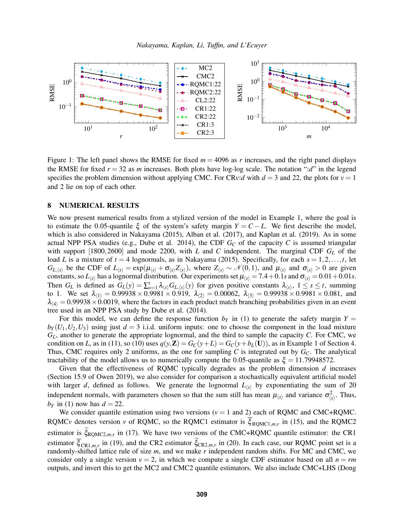

<span id="page-8-1"></span>Figure 1: The left panel shows the RMSE for fixed *m* = 4096 as *r* increases, and the right panel displays the RMSE for fixed  $r = 32$  as *m* increases. Both plots have log-log scale. The notation ":*d*" in the legend specifies the problem dimension without applying CMC. For CR*v*:*d* with  $d = 3$  and 22, the plots for  $v = 1$ and 2 lie on top of each other.

#### <span id="page-8-0"></span>8 NUMERICAL RESULTS

We now present numerical results from a stylized version of the model in Example [1,](#page-1-1) where the goal is to estimate the 0.05-quantile  $\xi$  of the system's safety margin  $Y = C - L$ . We first describe the model, which is also considered in [Nakayama \(2015\),](#page-11-15) [Alban et al. \(2017\),](#page-9-1) and [Kaplan et al. \(2019\).](#page-10-6) As in some actual NPP PSA studies (e.g., [Dube et al. 2014\)](#page-10-8), the CDF  $G_C$  of the capacity  $C$  is assumed triangular with support [1800,2600] and mode 2200, with *L* and *C* independent. The marginal CDF *G<sup>L</sup>* of the load *L* is a mixture of  $t = 4$  lognormals, as in [Nakayama \(2015\).](#page-11-15) Specifically, for each  $s = 1, 2, \ldots, t$ , let  $G_{L,\langle s \rangle}$  be the CDF of  $L_{\langle s \rangle} = \exp(\mu_{\langle s \rangle} + \sigma_{\langle s \rangle} Z_{\langle s \rangle})$ , where  $Z_{\langle s \rangle} \sim \mathcal{N}(0,1)$ , and  $\mu_{\langle s \rangle}$  and  $\sigma_{\langle s \rangle} > 0$  are given constants, so  $L_{\text{(s)}}$  has a lognormal distribution. Our experiments set  $\mu_{\text{(s)}} = 7.4 + 0.1$ *s* and  $\sigma_{\text{(s)}} = 0.01 + 0.01$ *s*. Then  $G_L$  is defined as  $G_L(y) = \sum_{s=1}^t \lambda_{\langle s \rangle} G_{L,\langle s \rangle}(y)$  for given positive constants  $\lambda_{\langle s \rangle}$ ,  $1 \le s \le t$ , summing to 1. We set  $\lambda_{(1)} = 0.99938 \times 0.9981 \times 0.919$ ,  $\lambda_{(2)} = 0.00062$ ,  $\lambda_{(3)} = 0.99938 \times 0.9981 \times 0.081$ , and  $\lambda_{(4)} = 0.99938 \times 0.0019$ , where the factors in each product match branching probabilities given in an event tree used in an NPP PSA study by [Dube et al. \(2014\).](#page-10-8)

For this model, we can define the response function  $b<sub>Y</sub>$  in [\(1\)](#page-1-2) to generate the safety margin  $Y =$  $b<sub>Y</sub>(U<sub>1</sub>, U<sub>2</sub>, U<sub>3</sub>)$  using just  $d = 3$  i.i.d. uniform inputs: one to choose the component in the load mixture *GL*, another to generate the appropriate lognormal, and the third to sample the capacity *C*. For CMC, we condition on *L*, as in [\(11\)](#page-3-5), so [\(10\)](#page-3-2) uses  $q(y, Z) = G_C(y + L) = G_C(y + b_L(U))$ , as in Example [1](#page-1-1) of Section [4.](#page-3-6) Thus, CMC requires only 2 uniforms, as the one for sampling C is integrated out by  $G_C$ . The analytical tractability of the model allows us to numerically compute the 0.05-quantile as  $\xi = 11.79948572$ .

Given that the effectiveness of RQMC typically degrades as the problem dimension *d* increases (Section 15.9 of [Owen 2019\)](#page-11-11), we also consider for comparison a stochastically equivalent artificial model with larger *d*, defined as follows. We generate the lognormal  $L_{\langle s \rangle}$  by exponentiating the sum of 20 independent normals, with parameters chosen so that the sum still has mean  $\mu_{\langle s \rangle}$  and variance  $\sigma_{\langle s \rangle}^2$ . Thus,  $b_Y$  in [\(1\)](#page-1-2) now has  $d = 22$ .

We consider quantile estimation using two versions ( $v = 1$  and 2) each of RQMC and CMC+RQMC. RQMC<sub>*v*</sub> denotes version *v* of RQMC, so the RQMC1 estimator is  $\xi_{\text{RQMC1},m,r}$  in [\(15\)](#page-6-2), and the RQMC2 estimator is  $\xi_{\text{RQMC2},m,r}$  in [\(17\)](#page-7-1). We have two versions of the CMC+RQMC quantile estimator: the CR1 estimator  $\xi_{\text{CR1},m,r}$  in [\(19\)](#page-7-2), and the CR2 estimator  $\xi_{\text{CR2},m,r}$  in [\(20\)](#page-7-3). In each case, our RQMC point set is a randomly-shifted lattice rule of size *m*, and we make *r* independent random shifts. For MC and CMC, we consider only a single version  $v = 2$ , in which we compute a single CDF estimator based on all  $n = rm$ outputs, and invert this to get the MC2 and CMC2 quantile estimators. We also include CMC+LHS [\(Dong](#page-10-14)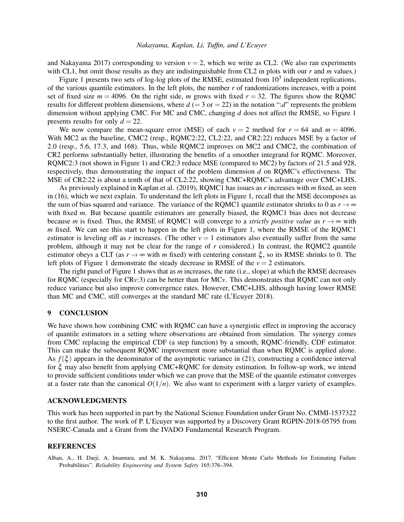[and Nakayama 2017\)](#page-10-14) corresponding to version  $v = 2$ , which we write as CL2. (We also ran experiments with CL1, but omit those results as they are indistinguishable from CL2 in plots with our *r* and *m* values.)

Figure [1](#page-8-1) presents two sets of log-log plots of the RMSE, estimated from  $10<sup>3</sup>$  independent replications, of the various quantile estimators. In the left plots, the number *r* of randomizations increases, with a point set of fixed size  $m = 4096$ . On the right side, *m* grows with fixed  $r = 32$ . The figures show the RQMC results for different problem dimensions, where  $d (= 3 \text{ or } = 22)$  in the notation ":*d*" represents the problem dimension without applying CMC. For MC and CMC, changing *d* does not affect the RMSE, so Figure [1](#page-8-1) presents results for only  $d = 22$ .

We now compare the mean-square error (MSE) of each  $v = 2$  method for  $r = 64$  and  $m = 4096$ . With MC2 as the baseline, CMC2 (resp., RQMC2:22, CL2:22, and CR2:22) reduces MSE by a factor of 2.0 (resp., 5.6, 17.3, and 168). Thus, while RQMC2 improves on MC2 and CMC2, the combination of CR2 performs substantially better, illustrating the benefits of a smoother integrand for RQMC. Moreover, RQMC2:3 (not shown in Figure [1\)](#page-8-1) and CR2:3 reduce MSE (compared to MC2) by factors of 21.5 and 928, respectively, thus demonstrating the impact of the problem dimension *d* on RQMC's effectiveness. The MSE of CR2:22 is about a tenth of that of CL2:22, showing CMC+RQMC's advantage over CMC+LHS.

As previously explained in [Kaplan et al. \(2019\),](#page-10-6) RQMC1 has issues as *r* increases with *m* fixed, as seen in [\(16\)](#page-6-1), which we next explain. To understand the left plots in Figure [1,](#page-8-1) recall that the MSE decomposes as the sum of bias squared and variance. The variance of the RQMC1 quantile estimator shrinks to 0 as  $r \rightarrow \infty$ with fixed *m*. But because quantile estimators are generally biased, the RQMC1 bias does not decrease because *m* is fixed. Thus, the RMSE of RQMC1 will converge to a *strictly positive value* as  $r \rightarrow \infty$  with *m* fixed. We can see this start to happen in the left plots in Figure [1,](#page-8-1) where the RMSE of the RQMC1 estimator is leveling off as *r* increases. (The other  $v = 1$  estimators also eventually suffer from the same problem, although it may not be clear for the range of *r* considered.) In contrast, the RQMC2 quantile estimator obeys a CLT (as  $r \rightarrow \infty$  with *m* fixed) with centering constant  $\xi$ , so its RMSE shrinks to 0. The left plots of Figure [1](#page-8-1) demonstrate the steady decrease in RMSE of the  $v = 2$  estimators.

The right panel of Figure [1](#page-8-1) shows that as *m* increases, the rate (i.e., slope) at which the RMSE decreases for RQMC (especially for CR*v*:3) can be better than for MC*v*. This demonstrates that RQMC can not only reduce variance but also improve convergence rates. However, CMC+LHS, although having lower RMSE than MC and CMC, still converges at the standard MC rate [\(L'Ecuyer 2018\)](#page-10-18).

#### <span id="page-9-0"></span>9 CONCLUSION

We have shown how combining CMC with RQMC can have a synergistic effect in improving the accuracy of quantile estimators in a setting where observations are obtained from simulation. The synergy comes from CMC replacing the empirical CDF (a step function) by a smooth, RQMC-friendly, CDF estimator. This can make the subsequent RQMC improvement more substantial than when RQMC is applied alone. As  $f(\xi)$  appears in the denominator of the asymptotic variance in [\(21\)](#page-7-4), constructing a confidence interval for ξ may also benefit from applying CMC+RQMC for density estimation. In follow-up work, we intend to provide sufficient conditions under which we can prove that the MSE of the quantile estimator converges at a faster rate than the canonical  $O(1/n)$ . We also want to experiment with a larger variety of examples.

## ACKNOWLEDGMENTS

This work has been supported in part by the National Science Foundation under Grant No. CMMI-1537322 to the first author. The work of P. L'Ecuyer was supported by a Discovery Grant RGPIN-2018-05795 from NSERC-Canada and a Grant from the IVADO Fundamental Research Program.

#### REFERENCES

<span id="page-9-1"></span>Alban, A., H. Darji, A. Imamura, and M. K. Nakayama. 2017. "Efficient Monte Carlo Methods for Estimating Failure Probabilities". *Reliability Engineering and System Safety* 165:376–394.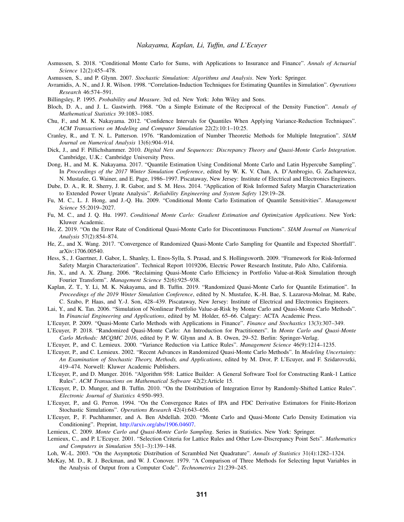- <span id="page-10-0"></span>Asmussen, S. 2018. "Conditional Monte Carlo for Sums, with Applications to Insurance and Finance". *Annals of Actuarial Science* 12(2):455–478.
- <span id="page-10-13"></span>Asmussen, S., and P. Glynn. 2007. *Stochastic Simulation: Algorithms and Analysis*. New York: Springer.
- <span id="page-10-12"></span>Avramidis, A. N., and J. R. Wilson. 1998. "Correlation-Induction Techniques for Estimating Quantiles in Simulation". *Operations Research* 46:574–591.
- <span id="page-10-10"></span>Billingsley, P. 1995. *Probability and Measure*. 3rd ed. New York: John Wiley and Sons.
- <span id="page-10-11"></span>Bloch, D. A., and J. L. Gastwirth. 1968. "On a Simple Estimate of the Reciprocal of the Density Function". *Annals of Mathematical Statistics* 39:1083–1085.
- <span id="page-10-29"></span>Chu, F., and M. K. Nakayama. 2012. "Confidence Intervals for Quantiles When Applying Variance-Reduction Techniques". *ACM Transactions on Modeling and Computer Simulation* 22(2):10:1–10:25.
- <span id="page-10-25"></span>Cranley, R., and T. N. L. Patterson. 1976. "Randomization of Number Theoretic Methods for Multiple Integration". *SIAM Journal on Numerical Analysis* 13(6):904–914.
- <span id="page-10-16"></span>Dick, J., and F. Pillichshammer. 2010. *Digital Nets and Sequences: Discrepancy Theory and Quasi-Monte Carlo Integration*. Cambridge, U.K.: Cambridge University Press.
- <span id="page-10-14"></span>Dong, H., and M. K. Nakayama. 2017. "Quantile Estimation Using Conditional Monte Carlo and Latin Hypercube Sampling". In *Proceedings of the 2017 Winter Simulation Conference*, edited by W. K. V. Chan, A. D'Ambrogio, G. Zacharewicz, N. Mustafee, G. Wainer, and E. Page, 1986–1997. Piscataway, New Jersey: Institute of Electrical and Electronics Engineers.
- <span id="page-10-8"></span>Dube, D. A., R. R. Sherry, J. R. Gabor, and S. M. Hess. 2014. "Application of Risk Informed Safety Margin Characterization to Extended Power Uprate Analysis". *Reliability Engineering and System Safety* 129:19–28.
- <span id="page-10-21"></span>Fu, M. C., L. J. Hong, and J.-Q. Hu. 2009. "Conditional Monte Carlo Estimation of Quantile Sensitivities". *Management Science* 55:2019–2027.
- <span id="page-10-20"></span>Fu, M. C., and J. Q. Hu. 1997. *Conditional Monte Carlo: Gradient Estimation and Optimization Applications*. New York: Kluwer Academic.
- <span id="page-10-22"></span>He, Z. 2019. "On the Error Rate of Conditional Quasi-Monte Carlo for Discontinuous Functions". *SIAM Journal on Numerical Analysis* 57(2):854–874.
- <span id="page-10-5"></span>He, Z., and X. Wang. 2017. "Convergence of Randomized Quasi-Monte Carlo Sampling for Quantile and Expected Shortfall". arXiv:1706.00540.
- <span id="page-10-9"></span>Hess, S., J. Gaertner, J. Gabor, L. Shanley, L. Enos-Sylla, S. Prasad, and S. Hollingsworth. 2009. "Framework for Risk-Informed Safety Margin Characterization". Technical Report 1019206, Electric Power Research Institute, Palo Alto, California.
- <span id="page-10-3"></span>Jin, X., and A. X. Zhang. 2006. "Reclaiming Quasi-Monte Carlo Efficiency in Portfolio Value-at-Risk Simulation through Fourier Transform". *Management Science* 52(6):925–938.
- <span id="page-10-6"></span>Kaplan, Z. T., Y. Li, M. K. Nakayama, and B. Tuffin. 2019. "Randomized Quasi-Monte Carlo for Quantile Estimation". In *Proceedings of the 2019 Winter Simulation Conference*, edited by N. Mustafee, K.-H. Bae, S. Lazarova-Molnar, M. Rabe, C. Szabo, P. Haas, and Y.-J. Son, 428–439. Piscataway, New Jersey: Institute of Electrical and Electronics Engineers.
- <span id="page-10-4"></span>Lai, Y., and K. Tan. 2006. "Simulation of Nonlinear Portfolio Value-at-Risk by Monte Carlo and Quasi-Monte Carlo Methods". In *Financial Engineering and Applications*, edited by M. Holder, 65–66. Calgary: ACTA Academic Press.
- <span id="page-10-2"></span>L'Ecuyer, P. 2009. "Quasi-Monte Carlo Methods with Applications in Finance". *Finance and Stochastics* 13(3):307–349.
- <span id="page-10-18"></span>L'Ecuyer, P. 2018. "Randomized Quasi-Monte Carlo: An Introduction for Practitioners". In *Monte Carlo and Quasi-Monte Carlo Methods: MCQMC 2016*, edited by P. W. Glynn and A. B. Owen, 29–52. Berlin: Springer-Verlag.
- <span id="page-10-1"></span>L'Ecuyer, P., and C. Lemieux. 2000. "Variance Reduction via Lattice Rules". *Management Science* 46(9):1214–1235.
- <span id="page-10-23"></span>L'Ecuyer, P., and C. Lemieux. 2002. "Recent Advances in Randomized Quasi-Monte Carlo Methods". In *Modeling Uncertainty: An Examination of Stochastic Theory, Methods, and Applications*, edited by M. Dror, P. L'Ecuyer, and F. Szidarovszki, 419–474. Norwell: Kluwer Academic Publishers.
- <span id="page-10-17"></span>L'Ecuyer, P., and D. Munger. 2016. "Algorithm 958: Lattice Builder: A General Software Tool for Constructing Rank-1 Lattice Rules". *ACM Transactions on Mathematical Software* 42(2):Article 15.
- <span id="page-10-28"></span>L'Ecuyer, P., D. Munger, and B. Tuffin. 2010. "On the Distribution of Integration Error by Randomly-Shifted Lattice Rules". *Electronic Journal of Statistics* 4:950–993.
- <span id="page-10-19"></span>L'Ecuyer, P., and G. Perron. 1994. "On the Convergence Rates of IPA and FDC Derivative Estimators for Finite-Horizon Stochastic Simulations". *Operations Research* 42(4):643–656.
- <span id="page-10-7"></span>L'Ecuyer, P., F. Puchhammer, and A. Ben Abdellah. 2020. "Monte Carlo and Quasi-Monte Carlo Density Estimation via Conditioning". Preprint, [http://arxiv.org/abs/1906.04607.](http://arxiv.org/abs/1906.04607)
- <span id="page-10-24"></span>Lemieux, C. 2009. *Monte Carlo and Quasi-Monte Carlo Sampling*. Series in Statistics. New York: Springer.
- <span id="page-10-26"></span>Lemieux, C., and P. L'Ecuyer. 2001. "Selection Criteria for Lattice Rules and Other Low-Discrepancy Point Sets". *Mathematics and Computers in Simulation* 55(1–3):139–148.
- <span id="page-10-27"></span>Loh, W.-L. 2003. "On the Asymptotic Distribution of Scrambled Net Quadrature". *Annals of Statistics* 31(4):1282–1324.
- <span id="page-10-15"></span>McKay, M. D., R. J. Beckman, and W. J. Conover. 1979. "A Comparison of Three Methods for Selecting Input Variables in the Analysis of Output from a Computer Code". *Technometrics* 21:239–245.